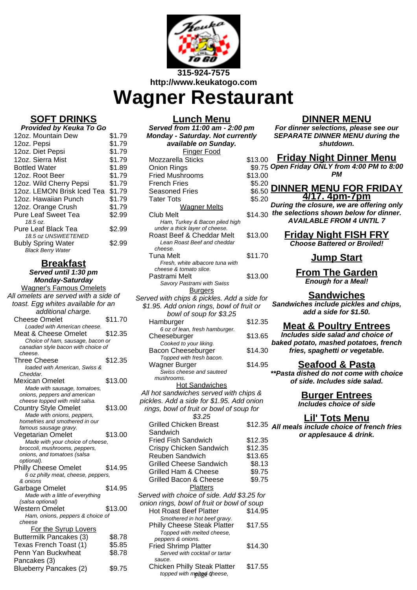

## **Wagner Restaurant**

## **SOFT DRINKS**

| Provided by Keuka To Go                                                      |        |  |  |
|------------------------------------------------------------------------------|--------|--|--|
| 12oz. Mountain Dew                                                           | \$1.79 |  |  |
| 12oz. Pepsi                                                                  | \$1.79 |  |  |
| 12oz. Diet Pepsi                                                             | \$1.79 |  |  |
| 12oz. Sierra Mist                                                            | \$1.79 |  |  |
| <b>Bottled Water</b>                                                         | \$1.89 |  |  |
| 12oz. Root Beer                                                              | \$1.79 |  |  |
| 12oz. Wild Cherry Pepsi                                                      | \$1.79 |  |  |
| 12oz. LEMON Brisk Iced Tea                                                   | \$1.79 |  |  |
| 12oz. Hawaiian Punch                                                         | \$1.79 |  |  |
| 12oz. Orange Crush                                                           | \$1.79 |  |  |
| <b>Pure Leaf Sweet Tea</b>                                                   | \$2.99 |  |  |
| 18.5 oz.                                                                     |        |  |  |
| Pure Leaf Black Tea                                                          | \$2.99 |  |  |
| 18.5 oz UNSWEETENED<br><b>Bubly Spring Water</b><br><b>Black Berry Water</b> | \$2.99 |  |  |

## **Breakfast**

**Served until 1:30 pm Monday-Saturday**

| <b>Wagner's Famous Omelets</b>                                          |         |  |
|-------------------------------------------------------------------------|---------|--|
| All omelets are served with a side of                                   |         |  |
| toast. Egg whites available for an                                      |         |  |
| additional charge.                                                      |         |  |
| <b>Cheese Omelet</b>                                                    | \$11.70 |  |
| Loaded with American cheese.                                            |         |  |
| Meat & Cheese Omelet                                                    | \$12.35 |  |
|                                                                         |         |  |
| Choice of ham, sausage, bacon or<br>canadian style bacon with choice of |         |  |
| cheese.                                                                 |         |  |
| <b>Three Cheese</b>                                                     | \$12.35 |  |
| loaded with American, Swiss &                                           |         |  |
| Cheddar.                                                                |         |  |
| Mexican Omelet                                                          | \$13.00 |  |
| Made with sausage, tomatoes,                                            |         |  |
| onions, peppers and american                                            |         |  |
| cheese topped with mild salsa.                                          |         |  |
| <b>Country Style Omelet</b>                                             | \$13.00 |  |
| Made with onions, peppers,                                              |         |  |
| homefries and smothered in our                                          |         |  |
| famous sausage gravy.                                                   |         |  |
| Vegetarian Omelet                                                       | \$13.00 |  |
| Made with your choice of cheese,                                        |         |  |
| broccoli, mushrooms, peppers,                                           |         |  |
| onions, and tomatoes (salsa                                             |         |  |
| optional).                                                              |         |  |
| <b>Philly Cheese Omelet</b>                                             | \$14.95 |  |
| 6 oz philly meat, cheese, peppers,                                      |         |  |
| & onions                                                                |         |  |
| Garbage Omelet                                                          | \$14.95 |  |
| Made with a little of everything                                        |         |  |
| (salsa optional)                                                        |         |  |
| Western Omelet                                                          | \$13.00 |  |
| Ham, onions, peppers & choice of                                        |         |  |
| cheese                                                                  |         |  |
| For the Syrup Lovers                                                    |         |  |
| Buttermilk Pancakes (3)                                                 | \$8.78  |  |
| Texas French Toast (1)                                                  | \$5.85  |  |
| Penn Yan Buckwheat                                                      | \$8.78  |  |
| Pancakes (3)                                                            |         |  |
| <b>Blueberry Pancakes (2)</b>                                           | \$9.75  |  |
|                                                                         |         |  |

**Lunch Menu Served from 11:00 am - 2:00 pm Monday - Saturday. Not currently available on Sunday.** Finger Food Mozzarella Sticks \$ Onion Rings<br>Fried Mushrooms \$ Fried Mushrooms **French Fries** Seasoned Fries **Tater Tots** Wagner Melts Club Melt  $\sim$ Ham, Turkey & Bacon piled high under a thick layer of cheese. Roast Beef & Cheddar Melt \$ Lean Roast Beef and cheddar cheese. Tuna Melt  $\sim$  \$ Fresh, white albacore tuna with cheese & tomato slice. Pastrami Melt \$ Savory Pastrami with Swiss Burgers Served with chips & pickles. Add a si \$1.95. Add onion rings, bowl of fruit bowl of soup for \$3.25 Hamburger \$ 6 oz of lean, fresh hamburger. Cheeseburger \$ Cooked to your liking. Bacon Cheeseburger \$ Topped with fresh bacon. Wagner Burger \$ Swiss cheese and sauteed mushrooms. Hot Sandwiches All hot sandwiches served with chips All hot sandwiches served with chip pickles. Add a side for  $$1.95$ . Add o rings, bowl of fruit or bowl of soup \$3.25 Grilled Chicken Breast **Sandwich**  $$3$ Fried Fish Sandwich \$ Crispy Chicken Sandwich \$ Reuben Sandwich \$ Grilled Cheese Sandwich Grilled Ham & Cheese Grilled Bacon & Cheese **Platters** Served with choice of side. Add \$3.25 for onion rings, bowl of fruit or bowl of soup Hot Roast Beef Platter \$14.95 Smothered in hot beef gravy. Philly Cheese Steak Platter \$17.55 Topped with melted cheese, peppers & onions. Fried Shrimp Platter \$14.30

Served with cocktail or tartar

topped with metted otheese,

Chicken Philly Steak Platter \$17.55

sauce.

## **DINNER MENU**

**For dinner selections, please see our SEPARATE DINNER MENU during the shutdown.**

|                  | 13.00 Friday Night Dinner Menu<br>\$9.75 Open Friday ONLY from 4:00 PM to 8:00             |
|------------------|--------------------------------------------------------------------------------------------|
| 13.00            | PМ                                                                                         |
| \$5.20<br>\$6.50 | DINNER MENU FOR FRIDAY<br>4/17. 4pm-7pm<br>During the closure, we are offering only        |
| \$5.20           |                                                                                            |
| 14.30            | the selections shown below for dinner.<br><b>AVAILABLE FROM 4 UNTIL 7</b>                  |
| 13.00            | <u>Friday Night FISH FRY</u><br><b>Choose Battered or Broiled!</b>                         |
| 311.70           | <u> Jump Start</u>                                                                         |
| 13.00            | <b>From The Garden</b><br><b>Enough for a Meal!</b>                                        |
| 'de for<br>it or | <b>Sandwiches</b><br>Sandwiches include pickles and chips,<br>add a side for \$1.50.       |
| 12.35            | <b>Meat &amp; Poultry Entrees</b>                                                          |
| 13.65            | Includes side salad and choice of                                                          |
| 14.30            | baked potato, mashed potatoes, french<br>fries, spaghetti or vegetable.                    |
| 14.95            | Seafood & Pasta<br>**Pasta dished do not come with choice<br>of side. Includes side salad. |
| 2S &             | <b>Burger Entrees</b>                                                                      |
| nion<br>for      | <b>Includes choice of side</b>                                                             |
| 12.35            | Lil' Tots Menu<br>All meals include choice of french fries<br>or applesauce & drink.       |
| 12.35<br>12.35   |                                                                                            |
| 13.65            |                                                                                            |
| \$8.13           |                                                                                            |
| \$9.75<br>\$9.75 |                                                                                            |
|                  |                                                                                            |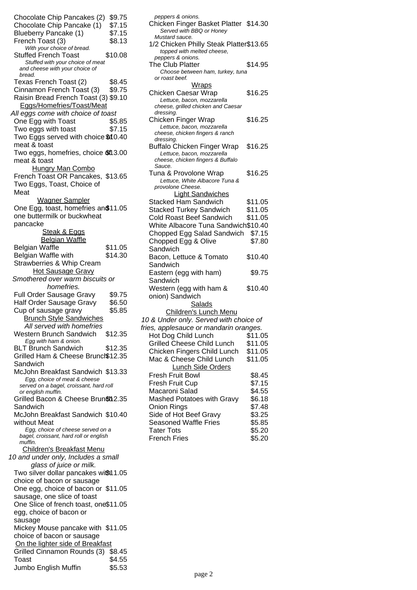Chocolate Chip Pancakes (2) \$9.75 Chocolate Chip Pancake (1) \$7.15 Blueberry Pancake (1) \$7.15 French Toast (3) \$8.13 With your choice of bread. Stuffed French Toast \$10.08 Stuffed with your choice of meat and cheese with your choice of bread. Texas French Toast (2) \$8.45 Cinnamon French Toast (3) \$9.75 Raisin Bread French Toast (3) \$9.10 Eggs/Homefries/Toast/Meat All eggs come with choice of toast One Egg with Toast \$5.85 Two eggs with toast \$7.15 Two Eggs served with choice \$10.40 meat & toast Two eggs, homefries, choice §f13.00 meat & toast Hungry Man Combo French Toast OR Pancakes, \$13.65 Two Eggs, Toast, Choice of Meat Wagner Sampler One Egg, toast, homefries an\$11.05 one buttermilk or buckwheat pancacke Steak & Eggs **Belgian Waffle** Belgian Waffle  $$11.05$ Belgian Waffle with Strawberries & Whip Cream \$14.30 **Hot Sausage Gravy** Smothered over warm biscuits or homefries. Full Order Sausage Gravy \$9.75 Half Order Sausage Gravy \$6.50 Cup of sausage gravy \$5.85 Brunch Style Sandwiches All served with homefries Western Brunch Sandwich \$12.35 Egg with ham & onion. BLT Brunch Sandwich \$12.35 Grilled Ham & Cheese Brunch\$12.35 Sandwich McJohn Breakfast Sandwich \$13.33 Egg, choice of meat & cheese served on a bagel, croissant, hard roll or english muffin. Grilled Bacon & Cheese Brun\$12.35 Sandwich McJohn Breakfast Sandwich \$10.40 without Meat Egg, choice of cheese served on a bagel, croissant, hard roll or english muffin. Children's Breakfast Menu 10 and under only, Includes a small glass of juice or milk. Two silver dollar pancakes with 1.05 choice of bacon or sausage One egg, choice of bacon or \$11.05 sausage, one slice of toast One Slice of french toast, one \$11.05 egg, choice of bacon or sausage Mickey Mouse pancake with \$11.05 choice of bacon or sausage On the lighter side of Breakfast Grilled Cinnamon Rounds (3) \$8.45 Toast \$4.55 Jumbo English Muffin \$5.53

| peppers & onions.                                                 |         |
|-------------------------------------------------------------------|---------|
| Chicken Finger Basket Platter \$14.30<br>Served with BBQ or Honey |         |
| Mustard sauce.                                                    |         |
| 1/2 Chicken Philly Steak Platter\$13.65                           |         |
| topped with melted cheese,                                        |         |
| peppers & onions.<br>The Club Platter                             | \$14.95 |
| Choose between ham, turkey, tuna                                  |         |
| or roast beef.                                                    |         |
| <u>Wraps</u>                                                      |         |
| Chicken Caesar Wrap                                               | \$16.25 |
| Lettuce, bacon, mozzarella<br>cheese, grilled chicken and Caesar  |         |
| dressing.                                                         |         |
| Chicken Finger Wrap                                               | \$16.25 |
| Lettuce, bacon, mozzarella                                        |         |
| cheese, chicken fingers & ranch<br>dressing.                      |         |
| <b>Buffalo Chicken Finger Wrap</b>                                | \$16.25 |
| Lettuce, bacon, mozzarella                                        |         |
| cheese, chicken fingers & Buffalo<br>Sauce.                       |         |
| Tuna & Provolone Wrap                                             | \$16.25 |
| Lettuce, White Albacore Tuna &                                    |         |
| provolone Cheese.                                                 |         |
| <b>Light Sandwiches</b>                                           |         |
| <b>Stacked Ham Sandwich</b>                                       | \$11.05 |
| <b>Stacked Turkey Sandwich</b><br><b>Cold Roast Beef Sandwich</b> | \$11.05 |
| White Albacore Tuna Sandwich\$10.40                               | \$11.05 |
| Chopped Egg Salad Sandwich                                        | \$7.15  |
| Chopped Egg & Olive                                               | \$7.80  |
| Sandwich                                                          |         |
| Bacon, Lettuce & Tomato                                           | \$10.40 |
| Sandwich                                                          |         |
| Eastern (egg with ham)                                            | \$9.75  |
| Sandwich                                                          |         |
| Western (egg with ham &                                           | \$10.40 |
| onion) Sandwich                                                   |         |
| Salads                                                            |         |
| <b>Children's Lunch Menu</b>                                      |         |
| 10 & Under only. Served with choice of                            |         |
| fries, applesauce or mandarin oranges.                            |         |
| Hot Dog Child Lunch                                               | \$11.05 |
| <b>Grilled Cheese Child Lunch</b>                                 | \$11.05 |
| Chicken Fingers Child Lunch                                       | \$11.05 |
| Mac & Cheese Child Lunch                                          | \$11.05 |
| <b>Lunch Side Orders</b>                                          | \$8.45  |
| Fresh Fruit Bowl<br>Fresh Fruit Cup                               | \$7.15  |
| Macaroni Salad                                                    | \$4.55  |
| Mashed Potatoes with Gravy                                        | \$6.18  |
| <b>Onion Rings</b>                                                | \$7.48  |
| Side of Hot Beef Gravy                                            | \$3.25  |
| <b>Seasoned Waffle Fries</b>                                      | \$5.85  |
| <b>Tater Tots</b>                                                 | \$5.20  |
| <b>French Fries</b>                                               | \$5.20  |